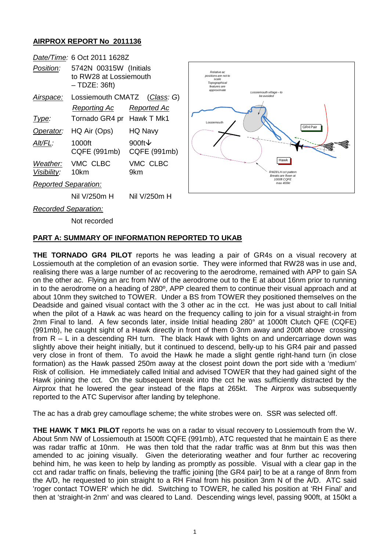## **AIRPROX REPORT No 2011136**

|                             | Date/Time: 6 Oct 2011 1628Z                                         |                                    |
|-----------------------------|---------------------------------------------------------------------|------------------------------------|
| <i>Position:</i>            | 5742N 00315W (Initials<br>to RW28 at Lossiemouth<br>$-$ TDZE: 36ft) |                                    |
| Airspace:                   | Lossiemouth CMATZ (Class: G)                                        |                                    |
|                             | Rep <u>orting Ac</u>                                                | Reported Ac                        |
| <u>Type:</u>                | Tornado GR4 pr Hawk T Mk1                                           |                                    |
| Operator:                   | HQ Air (Ops)                                                        | HQ Navy                            |
| Alt/FL:                     | 1000ft<br>CQFE (991mb)                                              | 900ft $\downarrow$<br>CQFE (991mb) |
| Visibility: 10km            | Weather: VMC CLBC                                                   | VMC CLBC<br>9km                    |
| <b>Reported Separation:</b> |                                                                     |                                    |
|                             | Nil V/250m H                                                        | Nil V/250m H                       |
| Recorded Senaration:        |                                                                     |                                    |



*Recorded Separation:*

Not recorded

## **PART A: SUMMARY OF INFORMATION REPORTED TO UKAB**

**THE TORNADO GR4 PILOT** reports he was leading a pair of GR4s on a visual recovery at Lossiemouth at the completion of an evasion sortie. They were informed that RW28 was in use and, realising there was a large number of ac recovering to the aerodrome, remained with APP to gain SA on the other ac. Flying an arc from NW of the aerodrome out to the E at about 16nm prior to running in to the aerodrome on a heading of 280º, APP cleared them to continue their visual approach and at about 10nm they switched to TOWER. Under a BS from TOWER they positioned themselves on the Deadside and gained visual contact with the 3 other ac in the cct. He was just about to call Initial when the pilot of a Hawk ac was heard on the frequency calling to join for a visual straight-in from 2nm Final to land. A few seconds later, inside Initial heading 280° at 1000ft Clutch QFE (CQFE) (991mb), he caught sight of a Hawk directly in front of them 0·3nm away and 200ft above crossing from  $R - L$  in a descending RH turn. The black Hawk with lights on and undercarriage down was slightly above their height initially, but it continued to descend, belly-up to his GR4 pair and passed very close in front of them. To avoid the Hawk he made a slight gentle right-hand turn (in close formation) as the Hawk passed 250m away at the closest point down the port side with a 'medium' Risk of collision. He immediately called Initial and advised TOWER that they had gained sight of the Hawk joining the cct. On the subsequent break into the cct he was sufficiently distracted by the Airprox that he lowered the gear instead of the flaps at 265kt. The Airprox was subsequently reported to the ATC Supervisor after landing by telephone.

The ac has a drab grey camouflage scheme; the white strobes were on. SSR was selected off.

**THE HAWK T MK1 PILOT** reports he was on a radar to visual recovery to Lossiemouth from the W. About 5nm NW of Lossiemouth at 1500ft CQFE (991mb), ATC requested that he maintain E as there was radar traffic at 10nm. He was then told that the radar traffic was at 8nm but this was then amended to ac joining visually. Given the deteriorating weather and four further ac recovering behind him, he was keen to help by landing as promptly as possible. Visual with a clear gap in the cct and radar traffic on finals, believing the traffic joining [the GR4 pair] to be at a range of 8nm from the A/D, he requested to join straight to a RH Final from his position 3nm N of the A/D. ATC said 'roger contact TOWER' which he did. Switching to TOWER, he called his position at 'RH Final' and then at 'straight-in 2nm' and was cleared to Land. Descending wings level, passing 900ft, at 150kt a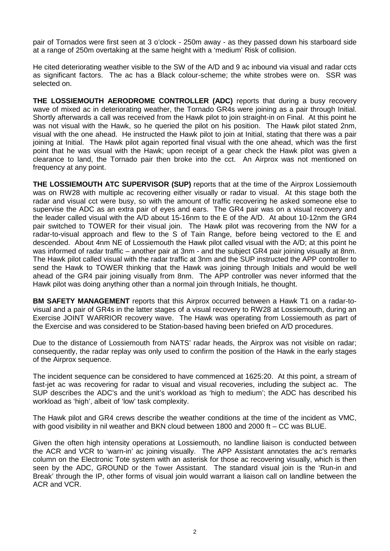pair of Tornados were first seen at 3 o'clock - 250m away - as they passed down his starboard side at a range of 250m overtaking at the same height with a 'medium' Risk of collision.

He cited deteriorating weather visible to the SW of the A/D and 9 ac inbound via visual and radar ccts as significant factors. The ac has a Black colour-scheme; the white strobes were on. SSR was selected on.

**THE LOSSIEMOUTH AERODROME CONTROLLER (ADC)** reports that during a busy recovery wave of mixed ac in deteriorating weather, the Tornado GR4s were joining as a pair through Initial. Shortly afterwards a call was received from the Hawk pilot to join straight-in on Final. At this point he was not visual with the Hawk, so he queried the pilot on his position. The Hawk pilot stated 2nm, visual with the one ahead. He instructed the Hawk pilot to join at Initial, stating that there was a pair joining at Initial. The Hawk pilot again reported final visual with the one ahead, which was the first point that he was visual with the Hawk; upon receipt of a gear check the Hawk pilot was given a clearance to land, the Tornado pair then broke into the cct. An Airprox was not mentioned on frequency at any point.

**THE LOSSIEMOUTH ATC SUPERVISOR (SUP)** reports that at the time of the Airprox Lossiemouth was on RW28 with multiple ac recovering either visually or radar to visual. At this stage both the radar and visual cct were busy, so with the amount of traffic recovering he asked someone else to supervise the ADC as an extra pair of eyes and ears. The GR4 pair was on a visual recovery and the leader called visual with the A/D about 15-16nm to the E of the A/D. At about 10-12nm the GR4 pair switched to TOWER for their visual join. The Hawk pilot was recovering from the NW for a radar-to-visual approach and flew to the S of Tain Range, before being vectored to the E and descended. About 4nm NE of Lossiemouth the Hawk pilot called visual with the A/D; at this point he was informed of radar traffic – another pair at 3nm - and the subject GR4 pair joining visually at 8nm. The Hawk pilot called visual with the radar traffic at 3nm and the SUP instructed the APP controller to send the Hawk to TOWER thinking that the Hawk was joining through Initials and would be well ahead of the GR4 pair joining visually from 8nm. The APP controller was never informed that the Hawk pilot was doing anything other than a normal join through Initials, he thought.

**BM SAFETY MANAGEMENT** reports that this Airprox occurred between a Hawk T1 on a radar-tovisual and a pair of GR4s in the latter stages of a visual recovery to RW28 at Lossiemouth, during an Exercise JOINT WARRIOR recovery wave. The Hawk was operating from Lossiemouth as part of the Exercise and was considered to be Station-based having been briefed on A/D procedures.

Due to the distance of Lossiemouth from NATS' radar heads, the Airprox was not visible on radar; consequently, the radar replay was only used to confirm the position of the Hawk in the early stages of the Airprox sequence.

The incident sequence can be considered to have commenced at 1625:20. At this point, a stream of fast-jet ac was recovering for radar to visual and visual recoveries, including the subject ac. The SUP describes the ADC's and the unit's workload as 'high to medium'; the ADC has described his workload as 'high', albeit of 'low' task complexity.

The Hawk pilot and GR4 crews describe the weather conditions at the time of the incident as VMC, with good visibility in nil weather and BKN cloud between 1800 and 2000 ft – CC was BLUE.

Given the often high intensity operations at Lossiemouth, no landline liaison is conducted between the ACR and VCR to 'warn-in' ac joining visually. The APP Assistant annotates the ac's remarks column on the Electronic Tote system with an asterisk for those ac recovering visually, which is then seen by the ADC, GROUND or the Tower Assistant. The standard visual join is the 'Run-in and Break' through the IP, other forms of visual join would warrant a liaison call on landline between the ACR and VCR.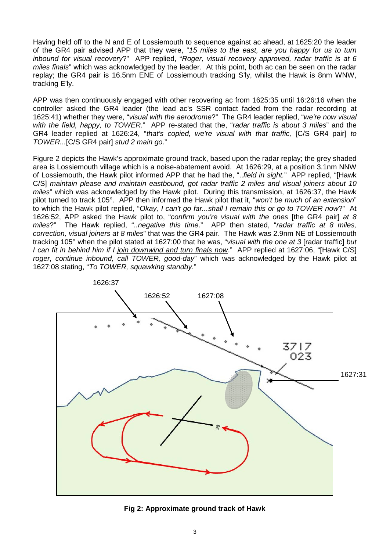Having held off to the N and E of Lossiemouth to sequence against ac ahead, at 1625:20 the leader of the GR4 pair advised APP that they were, "*15 miles to the east, are you happy for us to turn inbound for visual recovery*?" APP replied, "*Roger, visual recovery approved, radar traffic is at 6 miles finals*" which was acknowledged by the leader. At this point, both ac can be seen on the radar replay; the GR4 pair is 16.5nm ENE of Lossiemouth tracking S'ly, whilst the Hawk is 8nm WNW, tracking E'ly.

APP was then continuously engaged with other recovering ac from 1625:35 until 16:26:16 when the controller asked the GR4 leader (the lead ac's SSR contact faded from the radar recording at 1625:41) whether they were, "*visual with the aerodrome*?" The GR4 leader replied, "*we're now visual with the field, happy, to TOWER*." APP re-stated that the, "*radar traffic is about 3 miles*" and the GR4 leader replied at 1626:24, "*that's copied, we're visual with that traffic,* [C/S GR4 pair] *to TOWER...*[C/S GR4 pair] *stud 2 main go*."

Figure 2 depicts the Hawk's approximate ground track, based upon the radar replay; the grey shaded area is Lossiemouth village which is a noise-abatement avoid. At 1626:29, at a position 3.1nm NNW of Lossiemouth, the Hawk pilot informed APP that he had the, "..*field in sight.*" APP replied, "[Hawk C/S] *maintain please and maintain eastbound, got radar traffic 2 miles and visual joiners about 10 miles*" which was acknowledged by the Hawk pilot. During this transmission, at 1626:37, the Hawk pilot turned to track 105°. APP then informed the Hawk pilot that it, "*won't be much of an extension*" to which the Hawk pilot replied, "*Okay, I can't go far...shall I remain this or go to TOWER now*?" At 1626:52, APP asked the Hawk pilot to, "*confirm you're visual with the ones* [the GR4 pair] *at 8 miles*?" The Hawk replied, "*..negative this time*." APP then stated, "*radar traffic at 8 miles, correction, visual joiners at 8 miles*" that was the GR4 pair. The Hawk was 2.9nm NE of Lossiemouth tracking 105° when the pilot stated at 1627:00 that he was, "*visual with the one at 3* [radar traffic] *but I can fit in behind him if I join downwind and turn finals now*." APP replied at 1627:06, "[Hawk C/S] *roger, continue inbound, call TOWER, good-day*" which was acknowledged by the Hawk pilot at 1627:08 stating, "*To TOWER, squawking standby*."



**Fig 2: Approximate ground track of Hawk**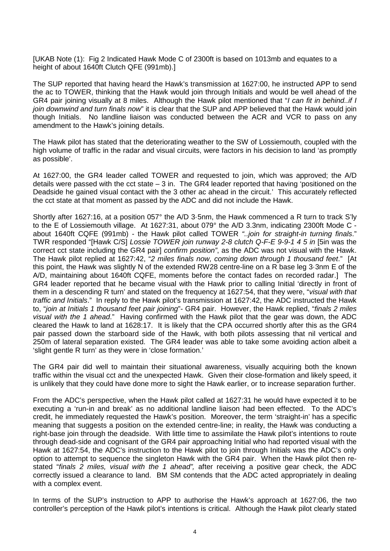[UKAB Note (1): Fig 2 Indicated Hawk Mode C of 2300ft is based on 1013mb and equates to a height of about 1640ft Clutch QFE (991mb).]

The SUP reported that having heard the Hawk's transmission at 1627:00, he instructed APP to send the ac to TOWER, thinking that the Hawk would join through Initials and would be well ahead of the GR4 pair joining visually at 8 miles. Although the Hawk pilot mentioned that "*I can fit in behind..if I join downwind and turn finals now*" it is clear that the SUP and APP believed that the Hawk would join though Initials. No landline liaison was conducted between the ACR and VCR to pass on any amendment to the Hawk's joining details.

The Hawk pilot has stated that the deteriorating weather to the SW of Lossiemouth, coupled with the high volume of traffic in the radar and visual circuits, were factors in his decision to land 'as promptly as possible'.

At 1627:00, the GR4 leader called TOWER and requested to join, which was approved; the A/D details were passed with the  $cot$  state  $-3$  in. The GR4 leader reported that having 'positioned on the Deadside he gained visual contact with the 3 other ac ahead in the circuit.' This accurately reflected the cct state at that moment as passed by the ADC and did not include the Hawk.

Shortly after 1627:16, at a position 057° the A/D 3·5nm, the Hawk commenced a R turn to track S'ly to the E of Lossiemouth village. At 1627:31, about 079° the A/D 3.3nm, indicating 2300ft Mode C about 1640ft CQFE (991mb) - the Hawk pilot called TOWER *"..join for straight-in turning finals*." TWR responded "[Hawk C/S] *Lossie TOWER join runway 2-8 clutch Q-F-E 9-9-1 4 5 in* [5in was the correct cct state including the GR4 pair] *confirm position"*, as the ADC was not visual with the Hawk. The Hawk pilot replied at 1627:42, "*2 miles finals now, coming down through 1 thousand feet*." [At this point, the Hawk was slightly N of the extended RW28 centre-line on a R base leg 3·3nm E of the A/D, maintaining about 1640ft CQFE, moments before the contact fades on recorded radar.] The GR4 leader reported that he became visual with the Hawk prior to calling Initial 'directly in front of them in a descending R turn' and stated on the frequency at 1627:54, that they were, "*visual with that traffic and Initials*." In reply to the Hawk pilot's transmission at 1627:42, the ADC instructed the Hawk to, "*join at Initials 1 thousand feet pair joining*"- GR4 pair. However, the Hawk replied, "*finals 2 miles visual with the 1 ahead*." Having confirmed with the Hawk pilot that the gear was down, the ADC cleared the Hawk to land at 1628:17. It is likely that the CPA occurred shortly after this as the GR4 pair passed down the starboard side of the Hawk, with both pilots assessing that nil vertical and 250m of lateral separation existed. The GR4 leader was able to take some avoiding action albeit a 'slight gentle R turn' as they were in 'close formation.'

The GR4 pair did well to maintain their situational awareness, visually acquiring both the known traffic within the visual cct and the unexpected Hawk. Given their close-formation and likely speed, it is unlikely that they could have done more to sight the Hawk earlier, or to increase separation further.

From the ADC's perspective, when the Hawk pilot called at 1627:31 he would have expected it to be executing a 'run-in and break' as no additional landline liaison had been effected. To the ADC's credit, he immediately requested the Hawk's position. Moreover, the term 'straight-in' has a specific meaning that suggests a position on the extended centre-line; in reality, the Hawk was conducting a right-base join through the deadside. With little time to assimilate the Hawk pilot's intentions to route through dead-side and cognisant of the GR4 pair approaching Initial who had reported visual with the Hawk at 1627:54, the ADC's instruction to the Hawk pilot to join through Initials was the ADC's only option to attempt to sequence the singleton Hawk with the GR4 pair. When the Hawk pilot then restated "*finals 2 miles, visual with the 1 ahead",* after receiving a positive gear check, the ADC correctly issued a clearance to land. BM SM contends that the ADC acted appropriately in dealing with a complex event.

In terms of the SUP's instruction to APP to authorise the Hawk's approach at 1627:06, the two controller's perception of the Hawk pilot's intentions is critical. Although the Hawk pilot clearly stated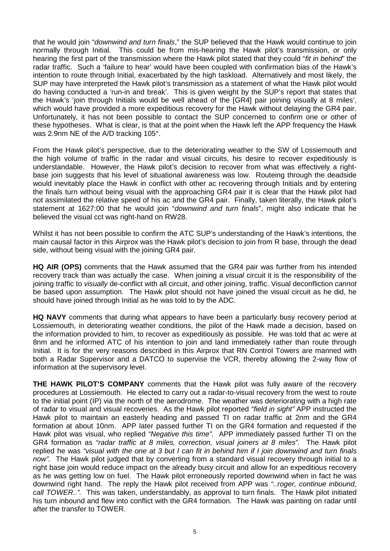that he would join "*downwind and turn finals*," the SUP believed that the Hawk would continue to join normally through Initial. This could be from mis-hearing the Hawk pilot's transmission, or only hearing the first part of the transmission where the Hawk pilot stated that they could "*fit in behind*" the radar traffic. Such a 'failure to hear' would have been coupled with confirmation bias of the Hawk's intention to route through Initial, exacerbated by the high taskload. Alternatively and most likely, the SUP may have interpreted the Hawk pilot's transmission as a statement of what the Hawk pilot would do having conducted a 'run-in and break'. This is given weight by the SUP's report that states that the Hawk's 'join through Initials would be well ahead of the [GR4] pair joining visually at 8 miles', which would have provided a more expeditious recovery for the Hawk without delaying the GR4 pair. Unfortunately, it has not been possible to contact the SUP concerned to confirm one or other of these hypotheses. What is clear, is that at the point when the Hawk left the APP frequency the Hawk was 2.9nm NE of the A/D tracking 105°.

From the Hawk pilot's perspective, due to the deteriorating weather to the SW of Lossiemouth and the high volume of traffic in the radar and visual circuits, his desire to recover expeditiously is understandable. However, the Hawk pilot's decision to recover from what was effectively a rightbase join suggests that his level of situational awareness was low. Routeing through the deadside would inevitably place the Hawk in conflict with other ac recovering through Initials and by entering the finals turn without being visual with the approaching GR4 pair it is clear that the Hawk pilot had not assimilated the relative speed of his ac and the GR4 pair. Finally, taken literally, the Hawk pilot's statement at 1627:00 that he would join "*downwind and turn finals*", might also indicate that he believed the visual cct was right-hand on RW28.

Whilst it has not been possible to confirm the ATC SUP's understanding of the Hawk's intentions, the main causal factor in this Airprox was the Hawk pilot's decision to join from R base, through the dead side, without being visual with the joining GR4 pair.

**HQ AIR (OPS)** comments that the Hawk assumed that the GR4 pair was further from his intended recovery track than was actually the case. When joining a *visual* circuit it is the responsibility of the joining traffic to *visually* de-conflict with all circuit, and other joining, traffic. Visual deconfliction *cannot* be based upon assumption. The Hawk pilot should not have joined the visual circuit as he did, he should have joined through Initial as he was told to by the ADC.

**HQ NAVY** comments that during what appears to have been a particularly busy recovery period at Lossiemouth, in deteriorating weather conditions, the pilot of the Hawk made a decision, based on the information provided to him, to recover as expeditiously as possible. He was told that ac were at 8nm and he informed ATC of his intention to join and land immediately rather than route through Initial. It is for the very reasons described in this Airprox that RN Control Towers are manned with both a Radar Supervisor and a DATCO to supervise the VCR, thereby allowing the 2-way flow of information at the supervisory level.

**THE HAWK PILOT'S COMPANY** comments that the Hawk pilot was fully aware of the recovery procedures at Lossiemouth. He elected to carry out a radar-to-visual recovery from the west to route to the initial point (IP) via the north of the aerodrome. The weather was deteriorating with a high rate of radar to visual and visual recoveries. As the Hawk pilot reported *"field in sight"* APP instructed the Hawk pilot to maintain an easterly heading and passed TI on radar traffic at 2nm and the GR4 formation at about 10nm. APP later passed further TI on the GR4 formation and requested if the Hawk pilot was visual, who replied *"Negative this time"*. APP immediately passed further TI on the GR4 formation as *"radar traffic at 8 miles, correction, visual joiners at 8 miles".* The Hawk pilot replied he was *"visual with the one at 3 but I can fit in behind him if I join downwind and turn finals now".* The Hawk pilot judged that by converting from a standard visual recovery through initial to a right base join would reduce impact on the already busy circuit and allow for an expeditious recovery as he was getting low on fuel. The Hawk pilot erroneously reported downwind when in fact he was downwind right hand. The reply the Hawk pilot received from APP was *"..roger, continue inbound, call TOWER..".* This was taken, understandably, as approval to turn finals. The Hawk pilot initiated his turn inbound and flew into conflict with the GR4 formation. The Hawk was painting on radar until after the transfer to TOWER.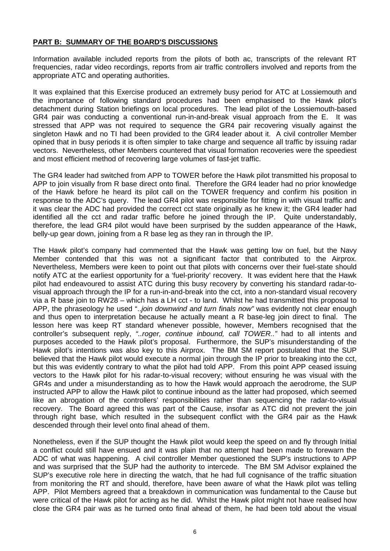## **PART B: SUMMARY OF THE BOARD'S DISCUSSIONS**

Information available included reports from the pilots of both ac, transcripts of the relevant RT frequencies, radar video recordings, reports from air traffic controllers involved and reports from the appropriate ATC and operating authorities.

It was explained that this Exercise produced an extremely busy period for ATC at Lossiemouth and the importance of following standard procedures had been emphasised to the Hawk pilot's detachment during Station briefings on local procedures. The lead pilot of the Lossiemouth-based GR4 pair was conducting a conventional run-in-and-break visual approach from the E. It was stressed that APP was not required to sequence the GR4 pair recovering visually against the singleton Hawk and no TI had been provided to the GR4 leader about it. A civil controller Member opined that in busy periods it is often simpler to take charge and sequence all traffic by issuing radar vectors. Nevertheless, other Members countered that visual formation recoveries were the speediest and most efficient method of recovering large volumes of fast-jet traffic.

The GR4 leader had switched from APP to TOWER before the Hawk pilot transmitted his proposal to APP to join visually from R base direct onto final. Therefore the GR4 leader had no prior knowledge of the Hawk before he heard its pilot call on the TOWER frequency and confirm his position in response to the ADC's query. The lead GR4 pilot was responsible for fitting in with visual traffic and it was clear the ADC had provided the correct cct state originally as he knew it; the GR4 leader had identified all the cct and radar traffic before he joined through the IP. Quite understandably, therefore, the lead GR4 pilot would have been surprised by the sudden appearance of the Hawk, belly-up gear down, joining from a R base leg as they ran in through the IP.

The Hawk pilot's company had commented that the Hawk was getting low on fuel, but the Navy Member contended that this was not a significant factor that contributed to the Airprox. Nevertheless, Members were keen to point out that pilots with concerns over their fuel-state should notify ATC at the earliest opportunity for a 'fuel-priority' recovery. It was evident here that the Hawk pilot had endeavoured to assist ATC during this busy recovery by converting his standard radar-tovisual approach through the IP for a run-in-and-break into the cct, into a non-standard visual recovery via a R base join to RW28 – which has a LH cct - to land. Whilst he had transmitted this proposal to APP, the phraseology he used "..*join downwind and turn finals now"* was evidently not clear enough and thus open to interpretation because he actually meant a R base-leg join direct to final. The lesson here was keep RT standard whenever possible, however, Members recognised that the controller's subsequent reply, *"..roger, continue inbound, call TOWER.."* had to all intents and purposes acceded to the Hawk pilot's proposal. Furthermore, the SUP's misunderstanding of the Hawk pilot's intentions was also key to this Airprox. The BM SM report postulated that the SUP believed that the Hawk pilot would execute a normal join through the IP prior to breaking into the cct, but this was evidently contrary to what the pilot had told APP. From this point APP ceased issuing vectors to the Hawk pilot for his radar-to-visual recovery; without ensuring he was visual with the GR4s and under a misunderstanding as to how the Hawk would approach the aerodrome, the SUP instructed APP to allow the Hawk pilot to continue inbound as the latter had proposed, which seemed like an abrogation of the controllers' responsibilities rather than sequencing the radar-to-visual recovery. The Board agreed this was part of the Cause, insofar as ATC did not prevent the join through right base, which resulted in the subsequent conflict with the GR4 pair as the Hawk descended through their level onto final ahead of them.

Nonetheless, even if the SUP thought the Hawk pilot would keep the speed on and fly through Initial a conflict could still have ensued and it was plain that no attempt had been made to forewarn the ADC of what was happening. A civil controller Member questioned the SUP's instructions to APP and was surprised that the SUP had the authority to intercede. The BM SM Advisor explained the SUP's executive role here in directing the watch, that he had full cognisance of the traffic situation from monitoring the RT and should, therefore, have been aware of what the Hawk pilot was telling APP. Pilot Members agreed that a breakdown in communication was fundamental to the Cause but were critical of the Hawk pilot for acting as he did. Whilst the Hawk pilot might not have realised how close the GR4 pair was as he turned onto final ahead of them, he had been told about the visual